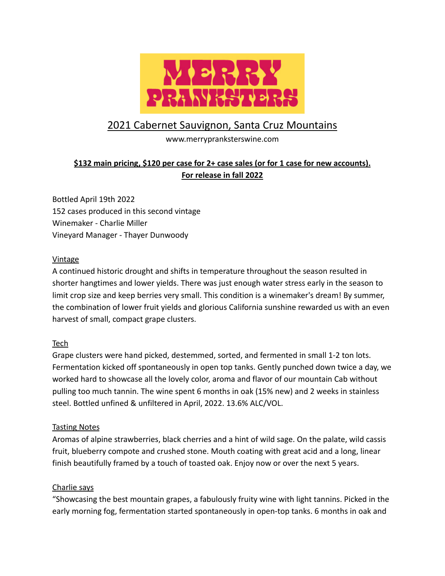

# 2021 Cabernet Sauvignon, Santa Cruz Mountains

www.merrypranksterswine.com

## **\$132 main pricing, \$120 per case for 2+ case sales (or for 1 case for new accounts). For release in fall 2022**

Bottled April 19th 2022 152 cases produced in this second vintage Winemaker - Charlie Miller Vineyard Manager - Thayer Dunwoody

#### **Vintage**

A continued historic drought and shifts in temperature throughout the season resulted in shorter hangtimes and lower yields. There was just enough water stress early in the season to limit crop size and keep berries very small. This condition is a winemaker's dream! By summer, the combination of lower fruit yields and glorious California sunshine rewarded us with an even harvest of small, compact grape clusters.

#### Tech

Grape clusters were hand picked, destemmed, sorted, and fermented in small 1-2 ton lots. Fermentation kicked off spontaneously in open top tanks. Gently punched down twice a day, we worked hard to showcase all the lovely color, aroma and flavor of our mountain Cab without pulling too much tannin. The wine spent 6 months in oak (15% new) and 2 weeks in stainless steel. Bottled unfined & unfiltered in April, 2022. 13.6% ALC/VOL.

#### Tasting Notes

Aromas of alpine strawberries, black cherries and a hint of wild sage. On the palate, wild cassis fruit, blueberry compote and crushed stone. Mouth coating with great acid and a long, linear finish beautifully framed by a touch of toasted oak. Enjoy now or over the next 5 years.

#### Charlie says

"Showcasing the best mountain grapes, a fabulously fruity wine with light tannins. Picked in the early morning fog, fermentation started spontaneously in open-top tanks. 6 months in oak and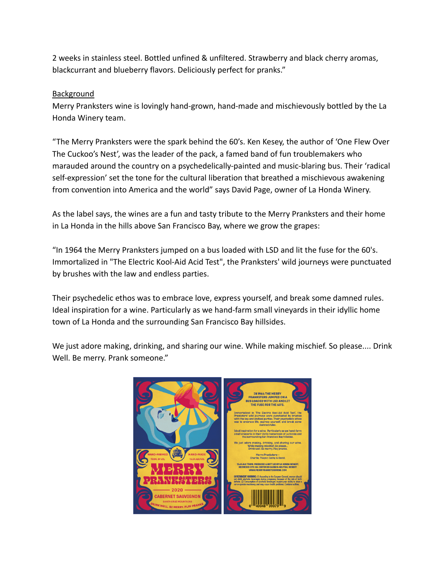2 weeks in stainless steel. Bottled unfined & unfiltered. Strawberry and black cherry aromas, blackcurrant and blueberry flavors. Deliciously perfect for pranks."

#### **Background**

Merry Pranksters wine is lovingly hand-grown, hand-made and mischievously bottled by the La Honda Winery team.

"The Merry Pranksters were the spark behind the 60's. Ken Kesey, the author of 'One Flew Over The Cuckoo's Nest', was the leader of the pack, a famed band of fun troublemakers who marauded around the country on a psychedelically-painted and music-blaring bus. Their 'radical self-expression' set the tone for the cultural liberation that breathed a mischievous awakening from convention into America and the world" says David Page, owner of La Honda Winery.

As the label says, the wines are a fun and tasty tribute to the Merry Pranksters and their home in La Honda in the hills above San Francisco Bay, where we grow the grapes:

"In 1964 the Merry Pranksters jumped on a bus loaded with LSD and lit the fuse for the 60's. Immortalized in "The Electric Kool-Aid Acid Test", the Pranksters' wild journeys were punctuated by brushes with the law and endless parties.

Their psychedelic ethos was to embrace love, express yourself, and break some damned rules. Ideal inspiration for a wine. Particularly as we hand-farm small vineyards in their idyllic home town of La Honda and the surrounding San Francisco Bay hillsides.

We just adore making, drinking, and sharing our wine. While making mischief. So please.... Drink Well. Be merry. Prank someone."